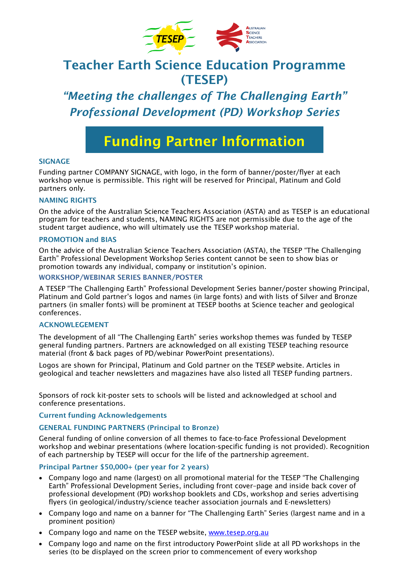

# Teacher Earth Science Education Programme (TESEP)

## *"Meeting the challenges of The Challenging Earth" Professional Development (PD) Workshop Series*

# Funding Partner Information

## SIGNAGE

Funding partner COMPANY SIGNAGE, with logo, in the form of banner/poster/flyer at each workshop venue is permissible. This right will be reserved for Principal, Platinum and Gold partners only.

## NAMING RIGHTS

On the advice of the Australian Science Teachers Association (ASTA) and as TESEP is an educational program for teachers and students, NAMING RIGHTS are not permissible due to the age of the student target audience, who will ultimately use the TESEP workshop material.

## PROMOTION and BIAS

On the advice of the Australian Science Teachers Association (ASTA), the TESEP "The Challenging Earth" Professional Development Workshop Series content cannot be seen to show bias or promotion towards any individual, company or institution's opinion.

## WORKSHOP/WEBINAR SERIES BANNER/POSTER

A TESEP "The Challenging Earth" Professional Development Series banner/poster showing Principal, Platinum and Gold partner's logos and names (in large fonts) and with lists of Silver and Bronze partners (in smaller fonts) will be prominent at TESEP booths at Science teacher and geological conferences.

## ACKNOWLEGEMENT

The development of all "The Challenging Earth" series workshop themes was funded by TESEP general funding partners. Partners are acknowledged on all existing TESEP teaching resource material (front & back pages of PD/webinar PowerPoint presentations).

Logos are shown for Principal, Platinum and Gold partner on the TESEP website. Articles in geological and teacher newsletters and magazines have also listed all TESEP funding partners.

Sponsors of rock kit-poster sets to schools will be listed and acknowledged at school and conference presentations.

## Current funding Acknowledgements

## GENERAL FUNDING PARTNERS (Principal to Bronze)

General funding of online conversion of all themes to face-to-face Professional Development workshop and webinar presentations (where location-specific funding is not provided). Recognition of each partnership by TESEP will occur for the life of the partnership agreement.

## Principal Partner \$50,000+ (per year for 2 years)

- Company logo and name (largest) on all promotional material for the TESEP "The Challenging Earth" Professional Development Series, including front cover–page and inside back cover of professional development (PD) workshop booklets and CDs, workshop and series advertising flyers (in geological/industry/science teacher association journals and E-newsletters)
- Company logo and name on a banner for "The Challenging Earth" Series (largest name and in a prominent position)
- Company logo and name on the TESEP website, [www.tesep.org.au](http://www.tesep.org.au/)
- Company logo and name on the first introductory PowerPoint slide at all PD workshops in the series (to be displayed on the screen prior to commencement of every workshop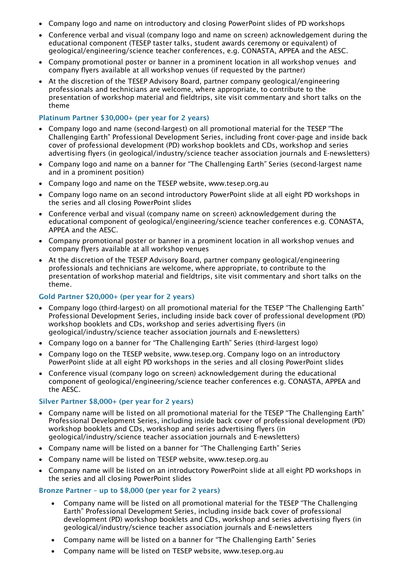- Company logo and name on introductory and closing PowerPoint slides of PD workshops
- Conference verbal and visual (company logo and name on screen) acknowledgement during the educational component (TESEP taster talks, student awards ceremony or equivalent) of geological/engineering/science teacher conferences, e.g. CONASTA, APPEA and the AESC.
- Company promotional poster or banner in a prominent location in all workshop venues and company flyers available at all workshop venues (if requested by the partner)
- At the discretion of the TESEP Advisory Board, partner company geological/engineering professionals and technicians are welcome, where appropriate, to contribute to the presentation of workshop material and fieldtrips, site visit commentary and short talks on the theme

## Platinum Partner \$30,000+ (per year for 2 years)

- Company logo and name (second-largest) on all promotional material for the TESEP "The Challenging Earth" Professional Development Series, including front cover-page and inside back cover of professional development (PD) workshop booklets and CDs, workshop and series advertising flyers (in geological/industry/science teacher association journals and E-newsletters)
- Company logo and name on a banner for "The Challenging Earth" Series (second-largest name and in a prominent position)
- Company logo and name on the TESEP website, www.tesep.org.au
- Company logo name on an second introductory PowerPoint slide at all eight PD workshops in the series and all closing PowerPoint slides
- Conference verbal and visual (company name on screen) acknowledgement during the educational component of geological/engineering/science teacher conferences e.g. CONASTA, APPEA and the AESC.
- Company promotional poster or banner in a prominent location in all workshop venues and company flyers available at all workshop venues
- At the discretion of the TESEP Advisory Board, partner company geological/engineering professionals and technicians are welcome, where appropriate, to contribute to the presentation of workshop material and fieldtrips, site visit commentary and short talks on the theme.

## Gold Partner \$20,000+ (per year for 2 years)

- Company logo (third-largest) on all promotional material for the TESEP "The Challenging Earth" Professional Development Series, including inside back cover of professional development (PD) workshop booklets and CDs, workshop and series advertising flyers (in geological/industry/science teacher association journals and E-newsletters)
- Company logo on a banner for "The Challenging Earth" Series (third-largest logo)
- Company logo on the TESEP website, www.tesep.org. Company logo on an introductory PowerPoint slide at all eight PD workshops in the series and all closing PowerPoint slides
- Conference visual (company logo on screen) acknowledgement during the educational component of geological/engineering/science teacher conferences e.g. CONASTA, APPEA and the AESC.

## Silver Partner \$8,000+ (per year for 2 years)

- Company name will be listed on all promotional material for the TESEP "The Challenging Earth" Professional Development Series, including inside back cover of professional development (PD) workshop booklets and CDs, workshop and series advertising flyers (in geological/industry/science teacher association journals and E-newsletters)
- Company name will be listed on a banner for "The Challenging Earth" Series
- Company name will be listed on TESEP website, www.tesep.org.au
- Company name will be listed on an introductory PowerPoint slide at all eight PD workshops in the series and all closing PowerPoint slides

## Bronze Partner – up to \$8,000 (per year for 2 years)

- Company name will be listed on all promotional material for the TESEP "The Challenging Earth" Professional Development Series, including inside back cover of professional development (PD) workshop booklets and CDs, workshop and series advertising flyers (in geological/industry/science teacher association journals and E-newsletters
- Company name will be listed on a banner for "The Challenging Earth" Series
- Company name will be listed on TESEP website, www.tesep.org.au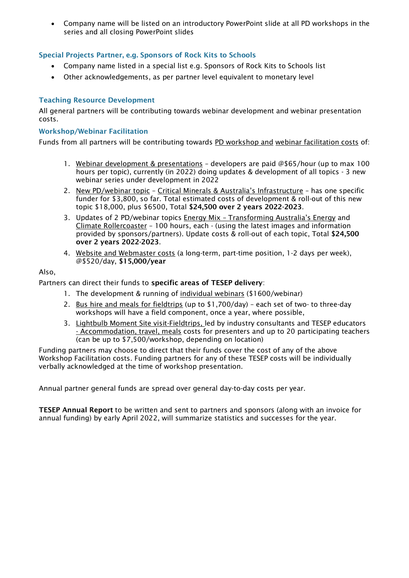• Company name will be listed on an introductory PowerPoint slide at all PD workshops in the series and all closing PowerPoint slides

## Special Projects Partner, e.g. Sponsors of Rock Kits to Schools

- Company name listed in a special list e.g. Sponsors of Rock Kits to Schools list
- Other acknowledgements, as per partner level equivalent to monetary level

## Teaching Resource Development

All general partners will be contributing towards webinar development and webinar presentation costs.

## Workshop/Webinar Facilitation

Funds from all partners will be contributing towards PD workshop and webinar facilitation costs of:

- 1. Webinar development & presentations developers are paid @\$65/hour (up to max 100 hours per topic), currently (in 2022) doing updates & development of all topics - 3 new webinar series under development in 2022
- 2. New PD/webinar topic Critical Minerals & Australia's Infrastructure has one specific funder for \$3,800, so far. Total estimated costs of development & roll-out of this new topic \$18,000, plus \$6500, Total \$24,500 over 2 years 2022-2023.
- 3. Updates of 2 PD/webinar topics Energy Mix Transforming Australia's Energy and Climate Rollercoaster – 100 hours, each - (using the latest images and information provided by sponsors/partners). Update costs & roll-out of each topic, Total \$24,500 over 2 years 2022-2023.
- 4. Website and Webmaster costs (a long-term, part-time position, 1-2 days per week), @\$520/day, \$15,000/year

Also,

Partners can direct their funds to specific areas of TESEP delivery:

- 1. The development & running of individual webinars (\$1600/webinar)
- 2. Bus hire and meals for fieldtrips (up to \$1,700/day) each set of two- to three-day workshops will have a field component, once a year, where possible,
- 3. Lightbulb Moment Site visit-Fieldtrips, led by industry consultants and TESEP educators - Accommodation, travel, meals costs for presenters and up to 20 participating teachers (can be up to \$7,500/workshop, depending on location)

Funding partners may choose to direct that their funds cover the cost of any of the above Workshop Facilitation costs. Funding partners for any of these TESEP costs will be individually verbally acknowledged at the time of workshop presentation.

Annual partner general funds are spread over general day-to-day costs per year.

TESEP Annual Report to be written and sent to partners and sponsors (along with an invoice for annual funding) by early April 2022, will summarize statistics and successes for the year.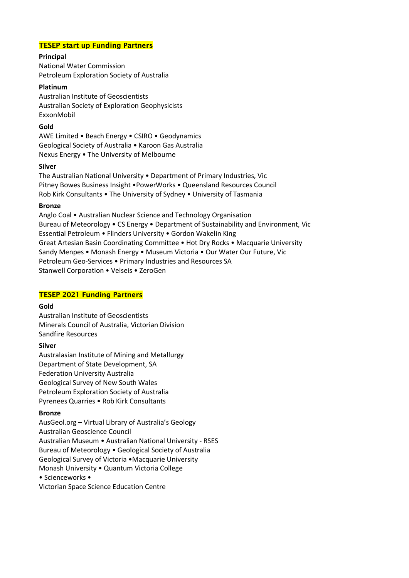## TESEP start up Funding Partners

## **Principal**

National Water Commission Petroleum Exploration Society of Australia

#### **Platinum**

Australian Institute of Geoscientists Australian Society of Exploration Geophysicists ExxonMobil

#### **Gold**

AWE Limited • Beach Energy • CSIRO • Geodynamics Geological Society of Australia • Karoon Gas Australia Nexus Energy • The University of Melbourne

#### **Silver**

The Australian National University • Department of Primary Industries, Vic Pitney Bowes Business Insight •PowerWorks • Queensland Resources Council Rob Kirk Consultants • The University of Sydney • University of Tasmania

#### **Bronze**

Anglo Coal • Australian Nuclear Science and Technology Organisation Bureau of Meteorology • CS Energy • Department of Sustainability and Environment, Vic Essential Petroleum • Flinders University • Gordon Wakelin King Great Artesian Basin Coordinating Committee • Hot Dry Rocks • Macquarie University Sandy Menpes • Monash Energy • Museum Victoria • Our Water Our Future, Vic Petroleum Geo-Services • Primary Industries and Resources SA Stanwell Corporation • Velseis • ZeroGen

## TESEP 2021 Funding Partners

#### **Gold**

Australian Institute of Geoscientists Minerals Council of Australia, Victorian Division Sandfire Resources

## **Silver**

Australasian Institute of Mining and Metallurgy Department of State Development, SA Federation University Australia Geological Survey of New South Wales Petroleum Exploration Society of Australia Pyrenees Quarries • Rob Kirk Consultants

#### **Bronze**

AusGeol.org – Virtual Library of Australia's Geology Australian Geoscience Council Australian Museum • Australian National University - RSES Bureau of Meteorology • Geological Society of Australia Geological Survey of Victoria •Macquarie University Monash University • Quantum Victoria College • Scienceworks • Victorian Space Science Education Centre